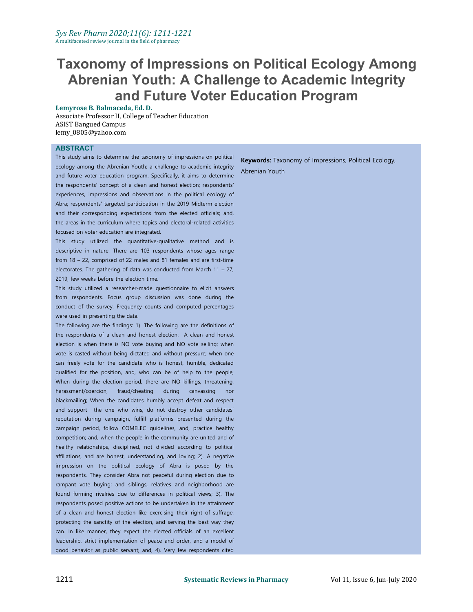# **Taxonomy of Impressions on Political Ecology Among Abrenian Youth: A Challenge to Academic Integrity and Future Voter Education Program**

**Lemyrose B. Balmaceda, Ed. D.**

Associate Professor II, College of Teacher Education ASIST Bangued Campus [lemy\\_0805@yahoo.com](mailto:lemy_0805@yahoo.com)

#### **ABSTRACT**

This study aims to determine the taxonomy of impressions on political ecology among the Abrenian Youth: a challenge to academic integrity and future voter education program. Specifically, it aims to determine the respondents' concept of a clean and honest election; respondents' experiences, impressions and observations in the political ecology of Abra; respondents' targeted participation in the 2019 Midterm election and their corresponding expectations from the elected officials; and, the areas in the curriculum where topics and electoral-related activities focused on voter education are integrated.

This study utilized the quantitative-qualitative method and is descriptive in nature. There are 103 respondents whose ages range from 18 – 22, comprised of 22 males and 81 females and are first-time electorates. The gathering of data was conducted from March  $11 - 27$ , 2019, few weeks before the election time.

This study utilized a researcher-made questionnaire to elicit answers from respondents. Focus group discussion was done during the conduct of the survey. Frequency counts and computed percentages were used in presenting the data.

The following are the findings: 1). The following are the definitions of the respondents of a clean and honest election: A clean and honest election is when there is NO vote buying and NO vote selling; when vote is casted without being dictated and without pressure; when one can freely vote for the candidate who is honest, humble, dedicated qualified for the position, and, who can be of help to the people; When during the election period, there are NO killings, threatening, harassment/coercion, fraud/cheating during canvassing nor blackmailing; When the candidates humbly accept defeat and respect and support the one who wins, do not destroy other candidates' reputation during campaign, fulfill platforms presented during the campaign period, follow COMELEC guidelines, and, practice healthy competition; and, when the people in the community are united and of healthy relationships, disciplined, not divided according to political affiliations, and are honest, understanding, and loving; 2). A negative impression on the political ecology of Abra is posed by the respondents. They consider Abra not peaceful during election due to rampant vote buying; and siblings, relatives and neighborhood are found forming rivalries due to differences in political views; 3). The respondents posed positive actions to be undertaken in the attainment of a clean and honest election like exercising their right of suffrage, protecting the sanctity of the election, and serving the best way they can. In like manner, they expect the elected officials of an excellent leadership, strict implementation of peace and order, and a model of good behavior as public servant; and, 4). Very few respondents cited **Keywords:** Taxonomy of Impressions, Political Ecology, Abrenian Youth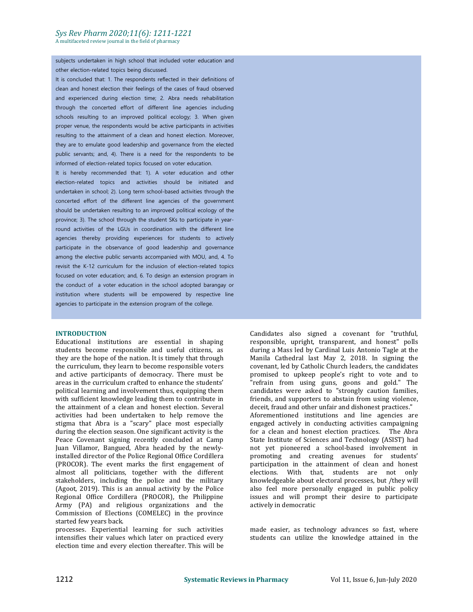A multifaceted review journal in the field of pharmacy

#### subjects undertaken in high school that included voter education and other election-related topics being discussed.

It is concluded that: 1. The respondents reflected in their definitions of clean and honest election their feelings of the cases of fraud observed and experienced during election time; 2. Abra needs rehabilitation through the concerted effort of different line agencies including schools resulting to an improved political ecology; 3. When given proper venue, the respondents would be active participants in activities resulting to the attainment of a clean and honest election. Moreover, they are to emulate good leadership and governance from the elected public servants; and, 4). There is a need for the respondents to be informed of election-related topics focused on voter education.

It is hereby recommended that: 1). A voter education and other election-related topics and activities should be initiated and undertaken in school; 2). Long term school-based activities through the concerted effort of the different line agencies of the government should be undertaken resulting to an improved political ecology of the province; 3). The school through the student SKs to participate in yearround activities of the LGUs in coordination with the different line agencies thereby providing experiences for students to actively participate in the observance of good leadership and governance among the elective public servants accompanied with MOU, and, 4. To revisit the K-12 curriculum for the inclusion of election-related topics focused on voter education; and, 6. To design an extension program in the conduct of a voter education in the school adopted barangay or institution where students will be empowered by respective line agencies to participate in the extension program of the college.

#### **INTRODUCTION**

Educational institutions are essential in shaping students become responsible and useful citizens, as they are the hope of the nation. It is timely that through the curriculum, they learn to become responsible voters and active participants of democracy. There must be areas in the curriculum crafted to enhance the students' political learning and involvement thus, equipping them with sufficient knowledge leading them to contribute in the attainment of a clean and honest election. Several activities had been undertaken to help remove the stigma that Abra is a "scary" place most especially during the election season. One significant activity is the Peace Covenant signing recently concluded at Camp Juan Villamor, Bangued, Abra headed by the newlyinstalled director of the Police Regional Office Cordillera (PROCOR). The event marks the first engagement of almost all politicians, together with the different stakeholders, including the police and the military (Agoot, 2019). This is an annual activity by the Police Regional Office Cordillera (PROCOR), the Philippine Army (PA) and religious organizations and the Commission of Elections (COMELEC) in the province started few years back.

intensifies their values which later on practiced every election time and every election thereafter. This will be processes. Experiential learning for such activities and made easier, as technology advances so fast, where intensifies their values which later on practiced every students can utilize the knowledge attained in the electio

Candidates also signed a covenant for "truthful, responsible, upright, transparent, and honest" polls during a Mass led by Cardinal Luis Antonio Tagle at the Manila Cathedral last May 2, 2018. In signing the covenant, led by Catholic Church leaders, the candidates promised to upkeep people's right to vote and to "refrain from using guns, goons and gold." The candidates were asked to "strongly caution families, friends, and supporters to abstain from using violence, deceit, fraud and other unfair and dishonest practices." Aforementioned institutions and line agencies are engaged actively in conducting activities campaigning for a clean and honest election practices. The Abra State Institute of Sciences and Technology (ASIST) had not yet pioneered a school-based involvement in promoting and creating avenues for students' participation in the attainment of clean and honest elections. With that, students are not only knowledgeable about electoral processes, but /they will also feel more personally engaged in public policy issues and will prompt their desire to participate actively in democratic

processes. Experiential learning for such activities and made easier, as technology advances so fast, where students can utilize the knowledge attained in the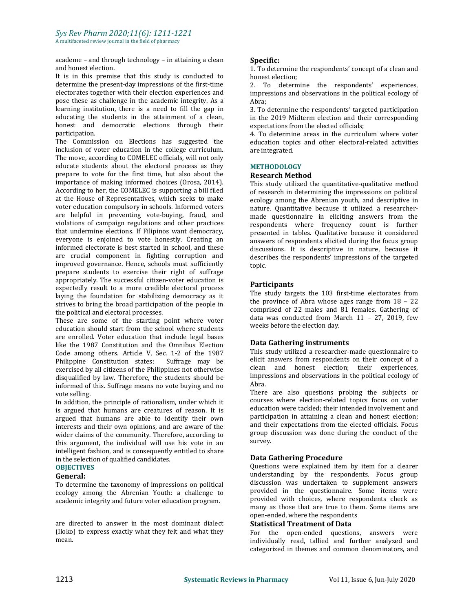academe – and through technology – in attaining a clean and honest election.

It is in this premise that this study is conducted to determine the present-day impressions of the first-time electorates together with their election experiences and pose these as challenge in the academic integrity. As a a and a Abra: learning institution, there is a need to fill the gap in educating the students in the attainment of a clean, honest and democratic elections through their participation.

The Commission on Elections has suggested the inclusion of voter education in the college curriculum. The move, according to COMELEC officials, will not only educate students about the electoral process as they prepare to vote for the first time, but also about the importance of making informed choices (Orosa, 2014). According to her, the COMELEC is supporting a bill filed at the House of Representatives, which seeks to make voter education compulsory in schools. Informed voters are helpful in preventing vote-buying, fraud, and violations of campaign regulations and other practices that undermine elections. If Filipinos want democracy, everyone is enjoined to vote honestly. Creating an informed electorate is best started in school, and these are crucial component in fighting corruption and improved governance. Hence, schools must sufficiently prepare students to exercise their right of suffrage appropriately. The successful citizen-voter education is expectedly result to a more credible electoral process laying the foundation for stabilizing democracy as it strives to bring the broad participation of the people in the political and electoral processes.

These are some of the starting point where voter education should start from the school where students are enrolled. Voter education that include legal bases like the 1987 Constitution and the Omnibus Election Code among others. Article V, Sec. 1-2 of the 1987<br>Philippine Constitution states: Suffrage may be Philippine Constitution states: exercised by all citizens of the Philippines not otherwise disqualified by law. Therefore, the students should be informed of this. Suffrage means no vote buying and no vote selling.

is argued that humans are creatures of reason. It is argued that humans are able to identify their own interests and their own opinions, and are aware of the wider claims of the community. Therefore, according to this argument, the individual will use his vote in an intelligent fashion, and is consequently entitled to share in the selection of qualified candidates. **OBJECTIVES**

# **General:**

To determine the taxonomy of impressions on political ecology among the Abrenian Youth: a challenge to academic integrity and future voter education program.

are directed to answer in the most dominant dialect (Iloko) to express exactly what they felt and what they here the co are directed to answer in the most dominant dialect<br>(Iloko) to express exactly what they felt and what they For the open-ended questions, answers were<br>mean. **Statistical Treatment of Data**<br>individually read, tallied and fu

# **Specific:**

1. To determine the respondents' concept of a clean and honest election;

2. To determine the respondents' experiences, impressions and observations in the political ecology of Abra;

3. To determine the respondents' targeted participation in the 2019 Midterm election and their corresponding expectations from the elected officials;

4. To determine areas in the curriculum where voter education topics and other electoral-related activities are integrated.

#### **METHODOLOGY**

#### **Research Method**

This study utilized the quantitative-qualitative method of research in determining the impressions on political ecology among the Abrenian youth, and descriptive in nature. Quantitative because it utilized a researcher made questionnaire in eliciting answers from the respondents where frequency count is further presented in tables. Qualitative because it considered answers of respondents elicited during the focus group discussions. It is descriptive in nature, because it describes the respondents' impressions of the targeted topic.

# **Participants**

The study targets the 103 first-time electorates from the province of Abra whose ages range from 18 – 22 comprised of 22 males and 81 females. Gathering of data was conducted from March  $11 - 27$ , 2019, few weeks before the election day.

# **Data Gathering instruments**

This study utilized a researcher-made questionnaire to elicit answers from respondents on their concept of a clean and honest election; their experiences, impressions and observations in the political ecology of Abra.

In addition, the principle of rationalism, under which it courses where election-related topics focus on voter There are also questions probing the subjects or education were tackled; their intended involvement and participation in attaining a clean and honest election; and their expectations from the elected officials. Focus group discussion was done during the conduct of the survey.

# **Data Gathering Procedure**

Questions were explained item by item for a clearer understanding by the respondents. Focus group discussion was undertaken to supplement answers provided in the questionnaire. Some items were provided with choices, where respondents check as many as those that are true to them. Some items are open-ended, where the respondents<br>Statistical Treatment of Data

For the open-ended questions, answers were individually read, tallied and further analyzed and categorized in themes and common denominators, and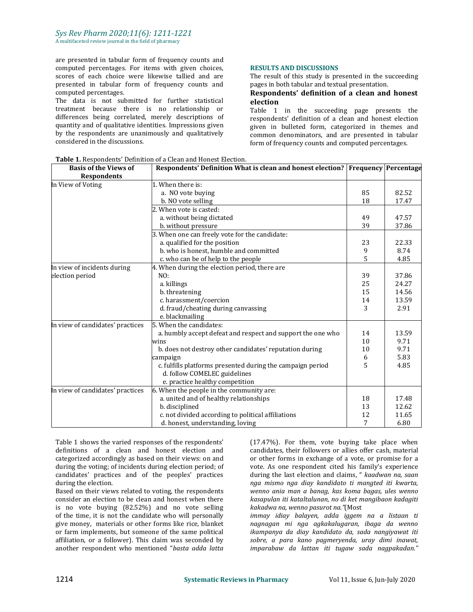are presented in tabular form of frequency counts and computed percentages. For items with given choices, scores of each choice were likewise tallied and are<br>  $\frac{1}{2}$  The result of this study is presented in the supersented in tabular form of frequency counts and<br>  $\frac{1}{2}$  pages in both tabular and textual presentation. presented in tabular form of frequency counts and computed percentages.

The data is not submitted for further statistical treatment because there is no relationship or differences being correlated, merely descriptions of quantity and of qualitative identities. Impressions given by the respondents are unanimously and qualitatively considered in the discussions.

# **RESULTS AND DISCUSSIONS**

The result of this study is presented in the succeeding

# pages in both tabular and textual presentation. **Respondents' definition of <sup>a</sup> clean and honest election**

Table 1 in the succeeding page presents the respondents' definition of a clean and honest election given in bulleted form, categorized in themes and common denominators, and are presented in tabular form of frequency counts and computed percentages.

| <b>Basis of the Views of</b>     | Respondents' Definition What is clean and honest election?   Frequency   Percentage |    |       |
|----------------------------------|-------------------------------------------------------------------------------------|----|-------|
| <b>Respondents</b>               |                                                                                     |    |       |
| In View of Voting                | 1. When there is:                                                                   |    |       |
|                                  | a. NO vote buying                                                                   | 85 | 82.52 |
|                                  | b. NO vote selling                                                                  | 18 | 17.47 |
|                                  | 2. When vote is casted:                                                             |    |       |
|                                  | a. without being dictated                                                           | 49 | 47.57 |
|                                  | b. without pressure                                                                 | 39 | 37.86 |
|                                  | 3. When one can freely vote for the candidate:                                      |    |       |
|                                  | a. qualified for the position                                                       | 23 | 22.33 |
|                                  | b. who is honest, humble and committed                                              | 9  | 8.74  |
|                                  | c. who can be of help to the people                                                 | 5  | 4.85  |
| In view of incidents during      | 4. When during the election period, there are                                       |    |       |
| election period                  | NO:                                                                                 | 39 | 37.86 |
|                                  | a. killings                                                                         | 25 | 24.27 |
|                                  | b. threatening                                                                      | 15 | 14.56 |
|                                  | c. harassment/coercion                                                              | 14 | 13.59 |
|                                  | d. fraud/cheating during canvassing                                                 | 3  | 2.91  |
|                                  | e. blackmailing                                                                     |    |       |
| In view of candidates' practices | 5. When the candidates:                                                             |    |       |
|                                  | a. humbly accept defeat and respect and support the one who                         | 14 | 13.59 |
|                                  | wins                                                                                | 10 | 9.71  |
|                                  | b. does not destroy other candidates' reputation during                             | 10 | 9.71  |
|                                  | campaign                                                                            | 6  | 5.83  |
|                                  | c. fulfills platforms presented during the campaign period                          | 5  | 4.85  |
|                                  | d. follow COMELEC guidelines                                                        |    |       |
|                                  | e. practice healthy competition                                                     |    |       |
| In view of candidates' practices | 6. When the people in the community are:                                            |    |       |
|                                  | a. united and of healthy relationships                                              | 18 | 17.48 |
|                                  | b. disciplined                                                                      | 13 | 12.62 |
|                                  | c. not divided according to political affiliations                                  | 12 | 11.65 |
|                                  | d. honest, understanding, loving                                                    | 7  | 6.80  |

#### **Table 1.** Respondents' Definition of a Clean and Honest Election.

Table 1 shows the varied responses of the respondents' definitions of a clean and honest election and categorized accordingly as based on their views: on and during the voting; of incidents during election period; of candidates' practices and of the peoples' practices during the election.

Based on their views related to voting, the respondents consider an election to be clean and honest when there is no vote buying (82.52%) and no vote selling of the time, it is not the candidate who will personally give money, materials or other forms like rice, blanket agnosis and minga agkakalugaran, ibaga da wenno<br>or farm implements, but someone of the same political ikampanya da diay kandidato da, sada nangiyawat iti or farm implements, but someone of the same political affiliation, or a follower). This claim was seconded by another respondent who mentioned "*basta adda latta*

(17.47%). For them, vote buying take place when candidates, their followers or allies offer cash, material or other forms in exchange of a vote, or promise for a vote. As one respondent cited his family's experience during the last election and claims, " *kaadwan na, saan nga mismo nga diay kandidato ti mangted iti kwarta, wenno ania man a banag, kas koma bagas, ules wenno kasapulan iti kataltalunan, no di ket mangibaon kadagiti kakadwa na, wenno pasurot na."*(Most

*immay idiay balayen, adda iggem na a listaan ti nagnagan mi nga agkakalugaran, ibaga da wenno ikampanya da diay kandidato da, sada nangiyawat itisobre, <sup>a</sup> para kano pagmeryenda, uray dimi inawat, imparabaw da lattan iti tugaw sada nagpakadan."*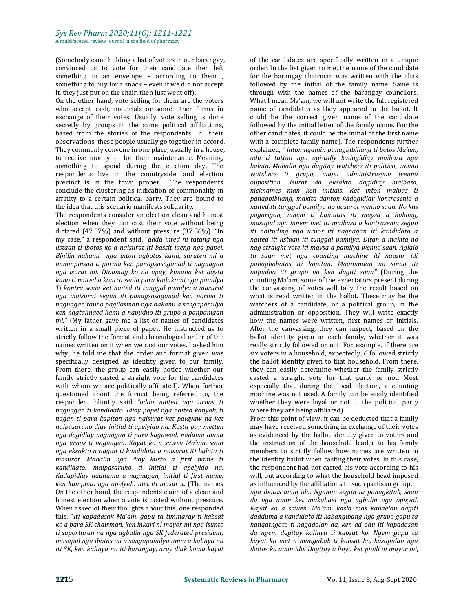(Somebody came holding a list of voters in our barangay, convinced us to vote for their candidate then left something in an envelope - according to them , something to buy for a snack – even if we did not accept it, they just put on the chair, then just wentoff).

On the other hand, vote selling for them are the voters who accept cash, materials or some other forms in exchange of their votes. Usually, vote selling is done secretly by groups in the same political affiliations, based from the stories of the respondents. In their observations, these people usually go together in accord. with a complete family name). The respondents further<br>They commonly convene in one place, usually in a house, explained, "*inton ngamin panagbibiliang ti botos Ma'a* They commonly convene in one place, usually in a house, to receive money – for their maintenance. Meaning, something to spend during the election day. The respondents live in the countryside, and election precinct is in the town proper. The respondents conclude the clustering as indication of commonality in affinity to a certain political party. They are bound to the idea that this scenario manifests solidarity.

The respondents consider an election clean and honest election when they can cast their vote without being dictated (47.57%) and without pressure (37.86%). "In my case," a respondent said, "*adda inted ni tatang nga listaan ti ibotos ko a naisurat iti bassit laeng nga papel. Binilin nakami nga inton agbotos kami, suruten mi a naminpinsan ti porma ken panagsasaganad ti nagnagan nga isurat mi. Dinamag ko no apay, kunana ket dayta kano ti naited a kontra senia para kadakami nga pamilya. Ti kontra senia ket naited iti tunggal pamilya a masurot nga maisurat segun iti panagsasaganad ken porma ti nagnagan tapno pagilasinan nga dakami a sangapamilya ken nagtalinaed kami a napudno iti grupo a panpanigan mi."* (My father gave me a list of names of candidates written in a small piece of paper. He instructed us to strictly follow the format and chronological order of the names written on it when we cast our votes. I asked him why, he told me that the order and format given was specifically designed as identity given to our family. From there, the group can easily notice whether our family strictly casted a straight vote for the candidates with whom we are politically affiliated). When further questioned about the format being referred to, the respondent bluntly said "adda naited nga urnos ti respondent bluntly said *"adda naited nga urnos ti nagnagan ti kandidato. Idiay papel nga naited kanyak, ti nagan ti para kapitan nga naisurat ket palayaw na ket naipasaruno diay initial ti apelyido na. Kasta pay metten nga dagidiay nagnagan ti para kagawad, naduma duma nga urnosti nagnagan. Kayat ko a sawen Ma'am, saan nga eksakto a nagan ti kandidato a naisurat iti balota ti masurot. Mabalin nga diay kusto a first name ti kandidato, maipasaruno ti initial ti apelyido na. Kadagidiay dadduma a nagnagan, initial ti first name, ken kumpleto nga apelyido met iti masurot.* (The names On the other hand, the respondents claim of a clean and honest election when a vote is casted without pressure. When asked of their thoughts about this, one responded this. "*Iti kapadasak Ma'am, gapu ta timmaray ti kabsat ko a para SK chairman, ken inkari ni mayor mi nga isunto ti suportaran na nga agbalin nga SK federated president, masapul nga ibotos mi a sangapamilya amin a kalinya na iti SK, ken kalinya na iti barangay, uray diak koma kayat*

of the candidates are specifically written in a unique order. In the list given to me, the name of the candidate for the barangay chairman was written with the alias followed by the initial of the family name. Same is through with the names of the barangay councilors. What I mean Ma'am, we will not write the full registered name of candidates as they appeared in the ballot. It could be the correct given name of the candidate followed by the initial letter of the family name. For the other candidates, it could be the initial of the first name with a complete family name). The respondents further explained, " *inton ngamin panagbibiliang ti botos Ma'am, adu ti tattao nga agi-tally kadagidiay maibasa nga balota. Mabalin nga dagitay watchers iti politico, wenno watchers ti grupo, mapa administrasyon wenno opposition. Isurat da eksakto dagidiay maibasa, nicknames man ken initials. Ket inton malpas ti panagbibilang, makita danton kadagidiay kontrasenia a naited iti tunggal pamilya no nasurot wenno saan. No kas pagarigan, innem ti bumutos iti maysa a bubong, masapul nga innem met iti maibasa a kontrasenia segun iti naituding nga urnos iti nagnagan iti kandidato a naited iti listaan iti tunggal pamilya. Ditan a makita no nag straight vote iti maysa a pamilya wenno saan. Aglalo ta saan met nga counting machine iti nausar idi panagbobotos iti kapitan. Maammuan no sinno iti napudno iti grupo na ken dagiti saan"* (During the counting Ma'am, some of the expectators present during the canvassing of votes will tally the result based on what is read written in the ballot. These may be the watchers of a candidate, or a political group, in the administration or opposition. They will write exactly how the names were written, first names or initials. After the canvassing, they can inspect, based on the ballot identity given in each family, whether it was really strictly followed or not. For example, if there are six voters in a household, expectedly, 6 followed strictly the ballot identity given to that household. From there, they can easily determine whether the family strictly casted a straight vote for that party or not. Most especially that during the local election, a counting machine was not used. A family can be easily identified whether they were loyal or not to the political party where they are being affiliated).

From this point of view, it can be deducted that a family may have received something in exchange of their votes as evidenced by the ballot identity given to voters and the instruction of the household leader to his family members to strictly follow how names are written in the identity ballot when casting their votes. In this case, the respondent had not casted his vote according to his will, but according to what the household head imposed as influenced by the affiliations to such partisan group.

*nga ibotos amin ida. Ngamin segun iti panagkitak, saan da nga amin ket makabael nga agbalin nga opisyal. Kayat ko a sawen, Ma'am, kasla mas kabaelan dagiti dadduma a kandidato iti kabangibang nga grupo gapu ta nangatngato ti nagadalan da, ken ad adu iti kapadasan da ngem dagitoy kalinya ti kabsat ko. Ngem gapu ta kayat ko met a mangabak ti kabsat ko, kasapulan nga ibotos ko amin ida. Dagitoy a linya ket pinili ni mayor mi,*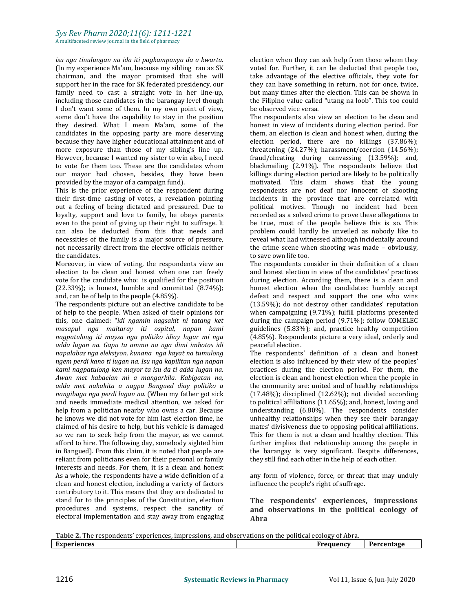A multifaceted review journal in the field of pharmacy

*isu nga tinulungan na ida iti pagkampanya da a kwarta.* (In my experience Ma'am, because my sibling ran as SK chairman, and the mayor promised that she will support her in the race for SK federated presidency, our family need to cast a straight vote in her line-up, including those candidates in the barangay level though I don't want some of them. In my own point of view, some don't have the capability to stay in the position they desired. What I mean Ma'am, some of the candidates in the opposing party are more deserving because they have higher educational attainment and of more exposure than those of my sibling's line up. However, because I wanted my sister to win also, I need to vote for them too. These are the candidates whom our mayor had chosen, besides, they have been provided by the mayor of a campaign fund).

This is the prior experience of the respondent during their first-time casting of votes, a revelation pointing out a feeling of being dictated and pressured. Due to loyalty, support and love to family, he obeys parents even to the point of giving up their right to suffrage. It can also be deducted from this that needs and necessities of the family is a major source of pressure, not necessarily direct from the elective officials neither the candidates.

Moreover, in view of voting, the respondents view an election to be clean and honest when one can freely vote for the candidate who: is qualified for the position  $(22.33\%)$ ; is honest, humble and committed  $(8.74\%)$ ; and, can be of help to the people (4.85%).

The respondents picture out an elective candidate to be of help to the people. When asked of their opinions for this, one claimed: "idi ngamin nagsakit ni tatang ket this, one claimed: "*idi ngamin nagsakit ni tatang ket masapul nga maitaray iti ospital, napan kami nagpatulong iti maysa nga politiko idiay lugar mi nga adda lugan na. Gapu ta ammo na nga dimi imbotos idi napalabas nga eleksiyon, kunana nga kayat na tumulong ngem perdi kano ti lugan na. Isu nga kapilitan nga napan kami nagpatulong ken mayor ta isu da ti adda lugan na. Awan met kabaelan mi a mangarkila. Kabigatan na, adda met nakakita a nagpa Bangued diay politiko a nangibaga nga perdi lugan na.* (When my father got sick and needs immediate medical attention, we asked for help from a politician nearby who owns a car. Because he knows we did not vote for him last election time, he claimed of his desire to help, but his vehicle is damaged so we ran to seek help from the mayor, as we cannot afford to hire. The following day, somebody sighted him in Bangued). From this claim, it is noted that people are reliant from politicians even for their personal or family interests and needs. For them, it is a clean and honest As a whole, the respondents have a wide definition of a clean and honest election, including a variety of factors contributory to it. This means that they are dedicated to stand for to the principles of the Constitution, election procedures and systems, respect the sanctity of electoral implementation and stay away from engaging

election when they can ask help from those whom they voted for. Further, it can be deducted that people too, take advantage of the elective officials, they vote for they can have something in return, not for once, twice, but many times after the election. This can be shown in the Filipino value called "utang na loob". This too could be observed vice versa.

The respondents also view an election to be clean and honest in view of incidents during election period. For them, an election is clean and honest when, during the election period, there are no killings (37.86%); threatening (24.27%); harassment/coercion (14.56%); fraud/cheating during canvassing (13.59%); and, blackmailing (2.91%). The respondents believe that killings during election period are likely to be politically motivated. This claim shows that the young respondents are not deaf nor innocent of shooting incidents in the province that are correlated with political motives. Though no incident had been recorded as a solved crime to prove these allegations to be true, most of the people believe this is so. This problem could hardly be unveiled as nobody like to reveal what had witnessed although incidentally around the crime scene when shooting was made – obviously, to save own life too.

The respondents consider in their definition of a clean and honest election in view of the candidates' practices during election. According them, there is a clean and honest election when the candidates: humbly accept defeat and respect and support the one who wins (13.59%); do not destroy other candidates' reputation when campaigning (9.71%); fulfill platforms presented during the campaign period (9.71%); follow COMELEC guidelines (5.83%); and, practice healthy competition (4.85%). Respondents picture a very ideal, orderly and peaceful election.

The respondents' definition of a clean and honest election is also influenced by their view of the peoples' practices during the election period. For them, the election is clean and honest election when the people in the community are: united and of healthy relationships (17.48%); disciplined (12.62%); not divided according to political affiliations (11.65%); and, honest, loving and understanding (6.80%). The respondents consider unhealthy relationships when they see their barangay mates' divisiveness due to opposing political affiliations. This for them is not a clean and healthy election. This further implies that relationship among the people in the barangay is very significant. Despite differences, they still find each other in the help of each other.

any form of violence, force, or threat that may unduly influence the people's right of suffrage.

# **The respondents' experiences, impressions and observations in the political ecology of Abra**

**Table 2.** The respondents' experiences, impressions, and observations on the political ecology of Abra.<br>**Experiences Percentage**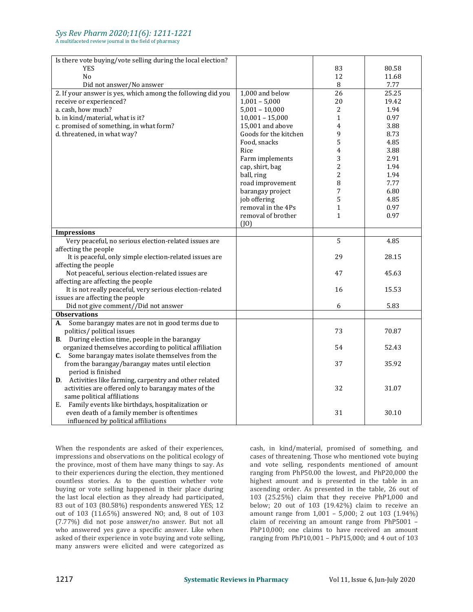# *Sys Rev Pharm 2020;11(6): 1211-1221*

A multifaceted review journal in the field of pharmacy

| Is there vote buying/vote selling during the local election? |                       |                   |              |
|--------------------------------------------------------------|-----------------------|-------------------|--------------|
| <b>YES</b>                                                   |                       | 83                | 80.58        |
| N <sub>o</sub>                                               |                       | 12                | 11.68        |
| Did not answer/No answer                                     |                       | $\, 8$            | 7.77         |
| 2. If your answer is yes, which among the following did you  | 1,000 and below       | 26                | 25.25        |
| receive or experienced?                                      | $1,001 - 5,000$       | 20                | 19.42        |
| a. cash, how much?                                           | $5,001 - 10,000$      | $\overline{c}$    | 1.94         |
| b. in kind/material, what is it?                             | $10,001 - 15,000$     | $\mathbf{1}$      | 0.97         |
| c. promised of something, in what form?                      | 15,001 and above      | $\overline{4}$    | 3.88         |
| d. threatened, in what way?                                  | Goods for the kitchen | 9                 | 8.73         |
|                                                              | Food, snacks          | 5                 | 4.85         |
|                                                              | Rice                  | $\overline{4}$    | 3.88         |
|                                                              | Farm implements       | 3                 | 2.91         |
|                                                              | cap, shirt, bag       | $\overline{c}$    | 1.94         |
|                                                              | ball, ring            | $\overline{c}$    | 1.94         |
|                                                              | road improvement      | 8                 | 7.77         |
|                                                              | barangay project      | 7                 | 6.80         |
|                                                              | job offering          | 5                 | 4.85         |
|                                                              | removal in the 4Ps    |                   |              |
|                                                              | removal of brother    | 1<br>$\mathbf{1}$ | 0.97<br>0.97 |
|                                                              |                       |                   |              |
|                                                              | $($ [0 $)$            |                   |              |
| <b>Impressions</b>                                           |                       |                   |              |
| Very peaceful, no serious election-related issues are        |                       | 5                 | 4.85         |
| affecting the people                                         |                       |                   |              |
| It is peaceful, only simple election-related issues are      |                       | 29                | 28.15        |
| affecting the people                                         |                       |                   |              |
| Not peaceful, serious election-related issues are            |                       | 47                | 45.63        |
| affecting are affecting the people                           |                       |                   |              |
| It is not really peaceful, very serious election-related     |                       | 16                | 15.53        |
| issues are affecting the people                              |                       |                   |              |
| Did not give comment//Did not answer                         |                       | 6                 | 5.83         |
| <b>Observations</b>                                          |                       |                   |              |
| A. Some barangay mates are not in good terms due to          |                       |                   |              |
| politics/ political issues                                   |                       | 73                | 70.87        |
| <b>B.</b> During election time, people in the barangay       |                       |                   |              |
| organized themselves according to political affiliation      |                       | 54                | 52.43        |
| C. Some barangay mates isolate themselves from the           |                       |                   |              |
| from the barangay/barangay mates until election              |                       | 37                | 35.92        |
| period is finished                                           |                       |                   |              |
| D. Activities like farming, carpentry and other related      |                       |                   |              |
| activities are offered only to barangay mates of the         |                       | 32                | 31.07        |
| same political affiliations                                  |                       |                   |              |
| E. Family events like birthdays, hospitalization or          |                       |                   |              |
| even death of a family member is oftentimes                  |                       | 31                | 30.10        |
| influenced by political affiliations                         |                       |                   |              |

When the respondents are asked of their experiences, impressions and observations on the political ecology of the province, most of them have many things to say. As to their experiences during the election, they mentioned countless stories. As to the question whether vote buying or vote selling happened in their place during the last local election as they already had participated, 83 out of 103 (80.58%) respondents answered YES; 12 out of 103 (11.65%) answered NO; and, 8 out of 103 amount range from  $1,001 - 5,000$ ; 2 out 103 (1.94%) (7.77%) did not pose answer/no answer. But not all claim of receiving an amount range from PhP5001 -(7.77%) did not pose answer/no answer. But not all who answered yes gave a specific answer. Like when asked of their experience in vote buying and vote selling, many answers were elicited and were categorized as

cash, in kind/material, promised of something, and cases of threatening. Those who mentioned vote buying and vote selling, respondents mentioned of amount ranging from PhP50.00 the lowest, and PhP20,000 the highest amount and is presented in the table in an ascending order. As presented in the table, 26 out of 103 (25.25%) claim that they receive PhP1,000 and below; 20 out of 103 (19.42%) claim to receive an amount range from 1,001 –5,000; 2 out 103 (1.94%) PhP10,000; one claims to have received an amount ranging from PhP10,001 – PhP15,000; and 4 out of 103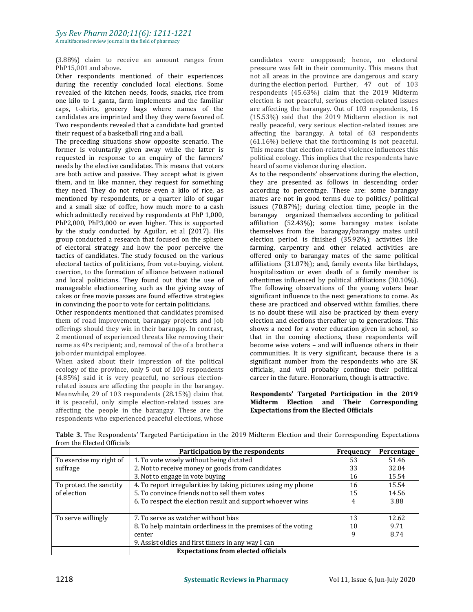(3.88%) claim to receive an amount ranges from PhP15,001 and above.

Other respondents mentioned of their experiences during the recently concluded local elections. Some revealed of the kitchen needs, foods, snacks, rice from one kilo to 1 ganta, farm implements and the familiar caps, t-shirts, grocery bags where names of the candidates are imprinted and they they were favored of. Two respondents revealed that a candidate had granted their request of a basketball ring and a ball.

The preceding situations show opposite scenario. The former is voluntarily given away while the latter is requested in response to an enquiry of the farmers' needs by the elective candidates. This means that voters are both active and passive. They acceptwhat is given them, and in like manner, they request for something they need. They do not refuse even a kilo of rice, as mentioned by respondents, or a quarter kilo of sugar and a small size of coffee, how much more to a cash which admittedly received by respondents at PhP 1,000, PhP2,000, PhP3,000 or even higher. This is supported by the study conducted by Aguilar, et al  $(2017)$ . His group conducted a research that focused on the sphere of electoral strategy and how the poor perceive the tactics of candidates. The study focused on the various electoral tactics of politicians, from vote-buying, violent coercion, to the formation of alliance between national and local politicians. They found out that the use of manageable electioneering such as the giving away of cakes or free movie passes are found effective strategies in convincing the poor to vote for certain politicians.

Other respondents mentioned that candidates promised them of road improvement, barangay projects and job offerings should they win in their barangay. In contrast, 2 mentioned of experienced threats like removing their name as4Ps recipient; and, removal of the of a brother a job order municipal employee.<br>When asked about their impression of the political

ecology of the province, only 5 out of 103 respondents (4.85%) said it is very peaceful, no serious election related issues are affecting the people in the barangay. Meanwhile, 29 of 103 respondents (28.15%) claim that it is peaceful, only simple election-related issues are affecting the people in the barangay.These are the respondents who experienced peaceful elections, whose

candidates were unopposed; hence, no electoral pressure was felt in their community. This means that not all areas in the province are dangerous and scary during the election period. Further, 47 out of 103 respondents (45.63%) claim that the 2019 Midterm election is not peaceful, serious election-related issues are affecting the barangay. Out of 103 respondents, 16 (15.53%) said that the 2019 Midterm election is not really peaceful, very serious election-related issues are affecting the barangay. A total of 63 respondents  $(61.16\%)$  believe that the forthcoming is not peaceful. This means that election-related violence influences this political ecology. This implies that the respondents have heard of some violence during election.

As to the respondents' observations during the election, they are presented as follows in descending order according to percentage. These are: some barangay mates are not in good terms due to politics/ political issues (70.87%); during election time, people in the barangay organized themselves according to political affiliation (52.43%); some barangay mates isolate themselves from the barangay/barangay mates until election period is finished (35.92%); activities like farming, carpentry and other related activities are offered only to barangay mates of the same political affiliations (31.07%); and, family events like birthdays, hospitalization or even death of a family member is oftentimes influenced by political affiliations (30.10%). The following observations of the young voters bear significant influence to the next generations to come. As these are practiced and observed within families, there is no doubt these will also be practiced by them every election and elections thereafter up to generations. This shows a need for a voter education given in school, so that in the coming elections, these respondents will become wise voters – and will influence others in their communities. It is very significant, because there is a significant number from the respondents who are SK officials, and will probably continue their political career in the future. Honorarium, though is attractive.

# **Respondents' Targeted Participation in the 2019 Midterm Election and Their Corresponding Expectations from the Elected Officials**

|                         | Participation by the respondents                              | <b>Frequency</b> | Percentage |
|-------------------------|---------------------------------------------------------------|------------------|------------|
| To exercise my right of | 1. To vote wisely without being dictated                      | 53               | 51.46      |
| suffrage                | 2. Not to receive money or goods from candidates              | 33               | 32.04      |
|                         | 3. Not to engage in vote buying                               | 16               | 15.54      |
| To protect the sanctity | 4. To report irregularities by taking pictures using my phone | 16               | 15.54      |
| of election             | 5. To convince friends not to sell them votes                 | 15               | 14.56      |
|                         | 6. To respect the election result and support whoever wins    | 4                | 3.88       |
| To serve willingly      | 7. To serve as watcher without bias                           | 13               | 12.62      |
|                         | 8. To help maintain orderliness in the premises of the voting | 10               | 9.71       |
|                         | center                                                        | 9                | 8.74       |
|                         | 9. Assist oldies and first timers in any way I can            |                  |            |
|                         | <b>Expectations from elected officials</b>                    |                  |            |

**Table 3.** The Respondents' Targeted Participation in the 2019 Midterm Election and their Corresponding Expectations from the Elected Officials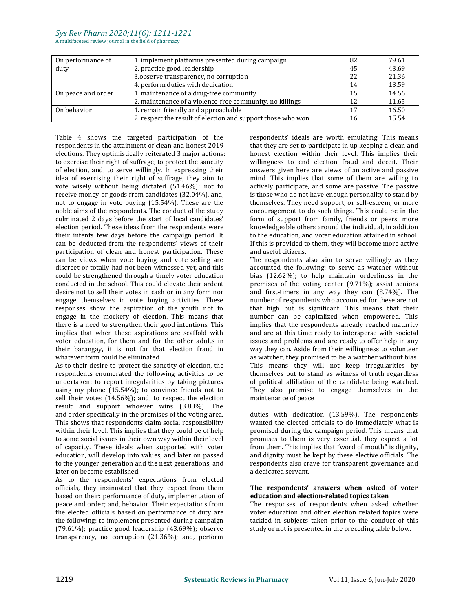# *Sys Rev Pharm 2020;11(6): 1211-1221*

A multifaceted review journal in the field of pharmacy

| On performance of  | 1. implement platforms presented during campaign            | 82 | 79.61 |
|--------------------|-------------------------------------------------------------|----|-------|
| duty               | 2. practice good leadership                                 | 45 | 43.69 |
|                    | 3. observe transparency, no corruption                      | 22 | 21.36 |
|                    | 4. perform duties with dedication                           | 14 | 13.59 |
| On peace and order | 1. maintenance of a drug-free community                     | 15 | 14.56 |
|                    | 2. maintenance of a violence-free community, no killings    |    | 11.65 |
| On behavior        | 1. remain friendly and approachable                         |    | 16.50 |
|                    | 2. respect the result of election and support those who won | 16 | 15.54 |

Table 4 shows the targeted participation of the respondents in the attainment of clean and honest 2019 elections. They optimistically reiterated 3 major actions: to exercise their right of suffrage, to protect the sanctity of election, and, to serve willingly. In expressing their idea of exercising their right of suffrage, they aim to vote wisely without being dictated (51.46%); not to receive money or goods from candidates (32.04%), and, not to engage in vote buying (15.54%). These are the noble aims of the respondents. The conduct of the study culminated 2 days before the start of local candidates' election period. These ideas from the respondents were their intents few days before the campaign period. It can be deducted from the respondents' views of their participation of clean and honest participation. These can be views when vote buying and vote selling are discreet or totally had not been witnessed yet, and this could be strengthened through a timely voter education conducted in the school. This could elevate their ardent desire not to sell their votes in cash or in any form nor engage themselves in vote buying activities. These responses show the aspiration of the youth not to engage in the mockery of election. This means that there is a need to strengthen their good intentions. This implies that when these aspirations are scaffold with voter education, for them and for the other adults in their barangay, it is not far that election fraud in whatever form could be eliminated.

As to their desire to protect the sanctity of election, the respondents enumerated the following activities to be undertaken: to report irregularities by taking pictures using my phone (15.54%); to convince friends not to sell their votes  $(14.56\%)$ ; and, to respect the election result and support whoever wins (3.88%). The and order specifically in the premises of the voting area. This shows that respondents claim social responsibility within their level. This implies that they could be of help to some social issues in their own way within their level of capacity. These ideals when supported with voter education, will develop into values, and later on passed to the younger generation and the next generations, and later on become established.

As to the respondents' expectations from elected officials, they insinuated that they expect from them based on their: performance of duty, implementation of peace and order; and, behavior. Their expectations from the elected officials based on performance of duty are the following: to implement presented during campaign (79.61%); practice good leadership (43.69%); observe transparency, no corruption (21.36%); and, perform

respondents' ideals are worth emulating. This means that they are set to participate in up keeping a clean and honest election within their level. This implies their willingness to end election fraud and deceit. Their answers given here are views of an active and passive mind. This implies that some of them are willing to actively participate, and some are passive. The passive is those who do not have enough personality to stand by themselves. They need support, or self-esteem, or more encouragement to do such things. This could be in the form of support from family, friends or peers, more knowledgeable others around the individual, in addition to the education, and voter education attained in school. If this is provided to them, they will become more active and useful citizens.

The respondents also aim to serve willingly as they accounted the following: to serve as watcher without bias (12.62%); to help maintain orderliness in the premises of the voting center (9.71%); assist seniors and first-timers in any way they can (8.74%). The number of respondents who accounted for these are not that high but is significant. This means that their number can be capitalized when empowered. This implies that the respondents already reached maturity and are at this time ready to intersperse with societal issues and problems and are ready to offer help in any way they can. Aside from their willingness to volunteer as watcher, they promised to be a watcher without bias. This means they will not keep irregularities by themselves but to stand as witness of truth regardless of political affiliation of the candidate being watched. They also promise to engage themselves in the maintenance of peace

duties with dedication (13.59%). The respondents wanted the elected officials to do immediately what is promised during the campaign period. This means that promises to them is very essential, they expect a lot from them. This implies that "word of mouth" is dignity, and dignity must be kept by these elective officials. The respondents also crave for transparent governance and a dedicated servant.

# **The respondents' answers when asked of voter education and election-related topics taken**

The responses of respondents when asked whether voter education and other election related topics were tackled in subjects taken prior to the conduct of this study or not is presented in the preceding table below.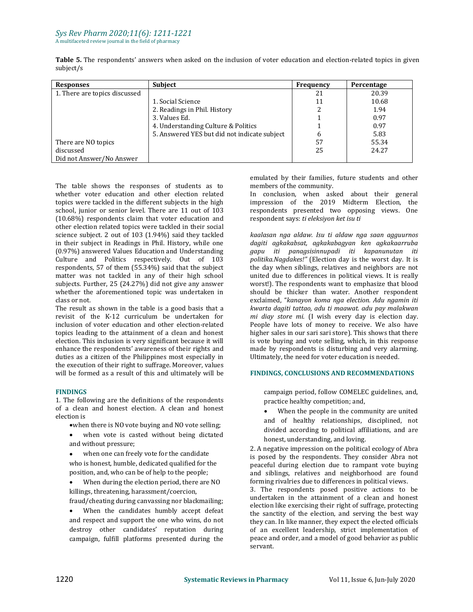| Responses                     | <b>Subject</b>                               | <b>Frequency</b> | Percentage |
|-------------------------------|----------------------------------------------|------------------|------------|
| 1. There are topics discussed |                                              | 21               | 20.39      |
|                               | 1. Social Science                            | 11               | 10.68      |
|                               | 2. Readings in Phil. History                 |                  | 1.94       |
|                               | 3. Values Ed.                                |                  | 0.97       |
|                               | 4. Understanding Culture & Politics          |                  | 0.97       |
|                               | 5. Answered YES but did not indicate subject | h                | 5.83       |
| There are NO topics           |                                              | 57               | 55.34      |
| discussed                     |                                              | 25               | 24.27      |
| Did not Answer/No Answer      |                                              |                  |            |

**Table 5.** The respondents' answers when asked on the inclusion of voter education and election-related topics in given subject/s

The table shows the responses of students as to members of the community. whether voter education and other election related topics were tackled in the different subjects in the high school, junior or senior level. There are 11 out of 103 (10.68%) respondents claim that voter education and other election related topics were tackled in their social science subject. 2 out of 103 (1.94%) said they tackled in their subject in Readings in Phil. History, while one (0.97%) answered Values Education and Understanding Culture and Politics respectively. Out of 103 respondents, 57 of them (55.34%) said that the subject matter was not tackled in any of their high school subjects. Further, 25 (24.27%) did not give any answer whether the aforementioned topic was undertaken in class or not.

The result as shown in the table is a good basis that a revisit of the K-12 curriculum be undertaken for inclusion of voter education and other election-related topics leading to the attainment of a clean and honest election. This inclusion is very significant because it will enhance the respondents' awareness of their rights and duties as a citizen of the Philippines most especially in the execution of their right to suffrage. Moreover, values will be formed as a result of this and ultimately will be

# **FINDINGS**

1. The following are the definitions of the respondents of a clean and honest election. A clean and honest

- when there is NO vote buying and NO vote selling;
- when vote is casted without being dictated and without pressure;

 when one can freely vote for the candidate who is honest, humble, dedicated qualified for the position, and, who can be of help to the people;

 When during the election period, there are NO killings, threatening, harassment/coercion,

- fraud/cheating during canvassing nor blackmailing;
- When the candidates humbly accept defeat and respect and support the one who wins, do not destroy other candidates' reputation during campaign, fulfill platforms presented during the

emulated by their families, future students and other

In conclusion, when asked about their general impression of the 2019 Midterm Election, the respondents presented two opposing views. One respondent says: *ti eleksiyon ket isu ti*

*kaalasan nga aldaw. Isu ti aldaw nga saan agguurnos dagiti agkakabsat, agkakabagyan ken agkakaarruba gapu iti panagsisinnupadi iti kapanunutan iti politika.Nagdakes!"* (Election day is the worst day. It is the day when siblings, relatives and neighbors are not united due to differences in political views. It is really worst!). The respondents want to emphasize that blood should be thicker than water. Another respondent exclaimed, "*kanayon koma nga election. Adu ngamin iti kwarta dagiti tattao, adu ti maawat. adu pay malakwan mi diay store mi.* (I wish every day is election day. People have lots of money to receive. We also have higher sales in our sari sari store). This shows that there is vote buying and vote selling, which, in this response made by respondents is disturbing and very alarming. Ultimately, the need for voter education is needed.

#### **FINDINGS, CONCLUSIONS AND RECOMMENDATIONS**

campaign period, follow COMELEC guidelines, and, practice healthy competition; and,

 When the people in the community are united and of healthy relationships, disciplined, not divided according to political affiliations, and are honest, understanding, and loving.

2. A negative impression on the political ecology of Abra is posed by the respondents. They consider Abra not peaceful during election due to rampant vote buying and siblings, relatives and neighborhood are found forming rivalries due to differences in political views.

3. The respondents posed positive actions to be undertaken in the attainment of a clean and honest election like exercising their right of suffrage, protecting the sanctity of the election, and serving the best way they can. In like manner, they expect the elected officials of an excellent leadership, strict implementation of peace and order, and a model of good behavior as public servant.